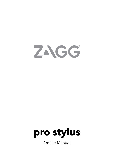



Online Manual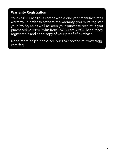#### **Warranty Registration**

Your ZAGG Pro Stylus comes with a one-year manufacturer's warranty. In order to activate the warranty, you must register your Pro Stylus as well as keep your purchase receipt. If you purchased your Pro Stylus from ZAGG.com, ZAGG has already registered it and has a copy of your proof of purchase.

Need more help? Please see our FAQ section at: [www.zagg.](http://www.zagg.com/faq) [com/faq](http://www.zagg.com/faq)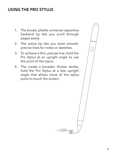### USING THE PRO STYLUS

- 1. The broad, pliable universal capacitive backend tip lets you scroll through pages easily.
- 2. The active tip lets you draw smooth, precise lines for notes or sketches.
- 3. To achieve a thin, precise line, hold the Pro Stylus at an upright angle to use the point of the stylus.
- 4. The create a broader, thicker stroke, hold the Pro Stylus at a less upright angle that allows more of the stylus point to touch the screen.

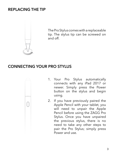#### REPLACING THE TIP



The Pro Stylus comes with a replaceable tip. The stylus tip can be screwed on and off.

### CONNECTING YOUR PRO STYLUS



2. If you have previously paired the Apple Pencil with your tablet, you will need to unpair the Apple Pencil before using the ZAGG Pro Stylus. Once you have unpaired the previous stylus, there is no need to take any other steps to pair the Pro Stylus; simply press Power and use.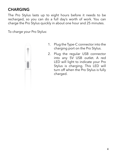# **CHARGING**

The Pro Stylus lasts up to eight hours before it needs to be recharged, so you can do a full day's worth of work. You can charge the Pro Stylus quickly in about one hour and 25 minutes.

To charge your Pro Stylus:



- 1. Plug the Type-C connector into the charging port on the Pro Stylus.
- 2. Plug the regular USB connector into any 5V USB outlet. A red LED will light to indicate your Pro Stylus is charging. This LED will turn off when the Pro Stylus is fully charged.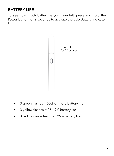## BATTERY LIFE

To see how much batter life you have left, press and hold the Power button for 2 seconds to activate the LED Battery Indicator Light.



- 3 green flashes = 50% or more battery life
- 3 yellow flashes = 25-49% battery life
- 3 red flashes = less than 25% battery life